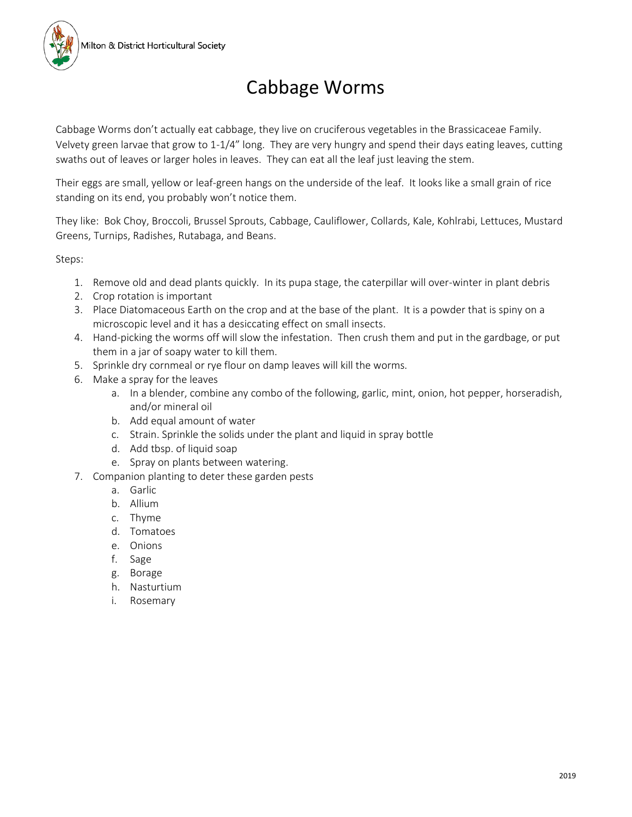## Cabbage Worms

Cabbage Worms don't actually eat cabbage, they live on cruciferous vegetables in the Brassicaceae Family. Velvety green larvae that grow to 1-1/4" long. They are very hungry and spend their days eating leaves, cutting swaths out of leaves or larger holes in leaves. They can eat all the leaf just leaving the stem.

Their eggs are small, yellow or leaf-green hangs on the underside of the leaf. It looks like a small grain of rice standing on its end, you probably won't notice them.

They like: Bok Choy, Broccoli, Brussel Sprouts, Cabbage, Cauliflower, Collards, Kale, Kohlrabi, Lettuces, Mustard Greens, Turnips, Radishes, Rutabaga, and Beans.

Steps:

- 1. Remove old and dead plants quickly. In its pupa stage, the caterpillar will over-winter in plant debris
- 2. Crop rotation is important
- 3. Place Diatomaceous Earth on the crop and at the base of the plant. It is a powder that is spiny on a microscopic level and it has a desiccating effect on small insects.
- 4. Hand-picking the worms off will slow the infestation. Then crush them and put in the gardbage, or put them in a jar of soapy water to kill them.
- 5. Sprinkle dry cornmeal or rye flour on damp leaves will kill the worms.
- 6. Make a spray for the leaves
	- a. In a blender, combine any combo of the following, garlic, mint, onion, hot pepper, horseradish, and/or mineral oil
	- b. Add equal amount of water
	- c. Strain. Sprinkle the solids under the plant and liquid in spray bottle
	- d. Add tbsp. of liquid soap
	- e. Spray on plants between watering.
- 7. Companion planting to deter these garden pests
	- a. Garlic
	- b. Allium
	- c. Thyme
	- d. Tomatoes
	- e. Onions
	- f. Sage
	- g. Borage
	- h. Nasturtium
	- i. Rosemary